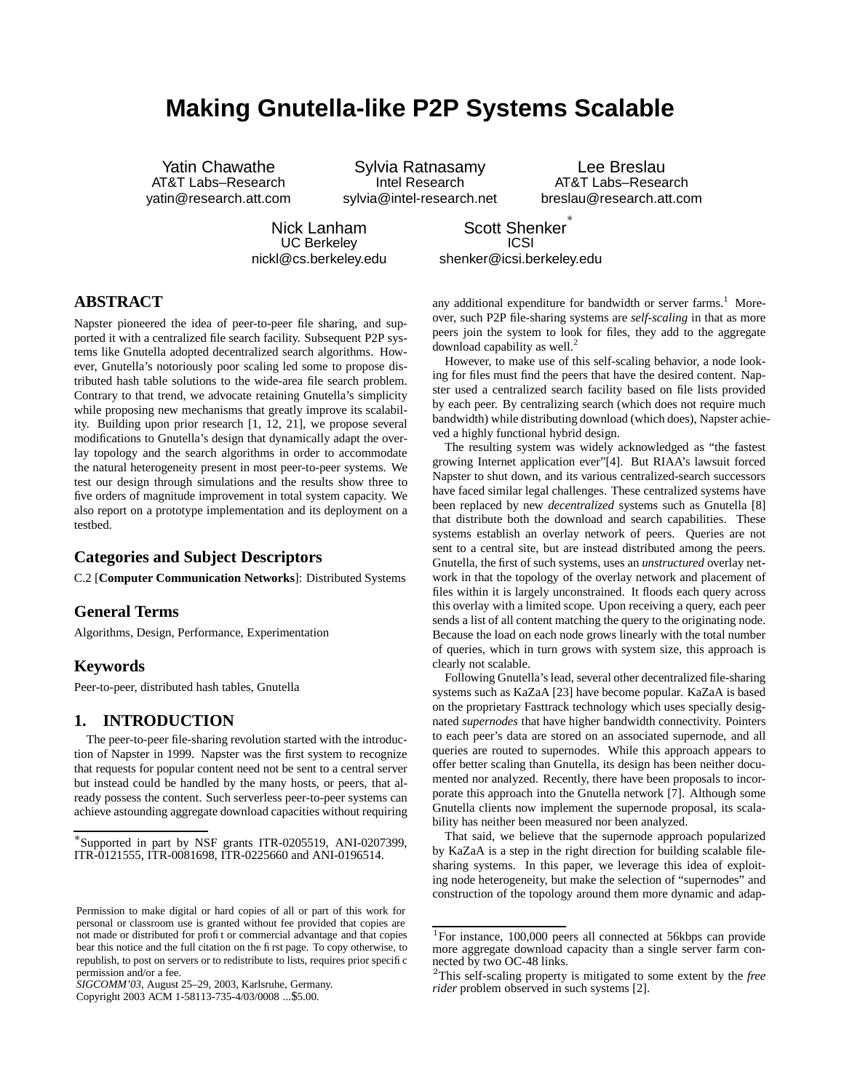# **Making Gnutella-like P2P Systems Scalable**

Yatin Chawathe AT&T Labs–Research yatin@research.att.com

Sylvia Ratnasamy Intel Research sylvia@intel-research.net

Lee Breslau AT&T Labs–Research breslau@research.att.com

Nick Lanham UC Berkeley nickl@cs.berkeley.edu

Scott Shenker ∗ ICSI shenker@icsi.berkeley.edu

# **ABSTRACT**

Napster pioneered the idea of peer-to-peer file sharing, and supported it with a centralized file search facility. Subsequent P2P systems like Gnutella adopted decentralized search algorithms. However, Gnutella's notoriously poor scaling led some to propose distributed hash table solutions to the wide-area file search problem. Contrary to that trend, we advocate retaining Gnutella's simplicity while proposing new mechanisms that greatly improve its scalability. Building upon prior research [1, 12, 21], we propose several modifications to Gnutella's design that dynamically adapt the overlay topology and the search algorithms in order to accommodate the natural heterogeneity present in most peer-to-peer systems. We test our design through simulations and the results show three to five orders of magnitude improvement in total system capacity. We also report on a prototype implementation and its deployment on a testbed.

#### **Categories and Subject Descriptors**

C.2 [**Computer Communication Networks**]: Distributed Systems

#### **General Terms**

Algorithms, Design, Performance, Experimentation

# **Keywords**

Peer-to-peer, distributed hash tables, Gnutella

# **1. INTRODUCTION**

The peer-to-peer file-sharing revolution started with the introduction of Napster in 1999. Napster was the first system to recognize that requests for popular content need not be sent to a central server but instead could be handled by the many hosts, or peers, that already possess the content. Such serverless peer-to-peer systems can achieve astounding aggregate download capacities without requiring

*SIGCOMM'03,* August 25–29, 2003, Karlsruhe, Germany.

any additional expenditure for bandwidth or server farms.<sup>1</sup> Moreover, such P2P file-sharing systems are *self-scaling* in that as more peers join the system to look for files, they add to the aggregate download capability as well.<sup>2</sup>

However, to make use of this self-scaling behavior, a node looking for files must find the peers that have the desired content. Napster used a centralized search facility based on file lists provided by each peer. By centralizing search (which does not require much bandwidth) while distributing download (which does), Napster achieved a highly functional hybrid design.

The resulting system was widely acknowledged as "the fastest growing Internet application ever"[4]. But RIAA's lawsuit forced Napster to shut down, and its various centralized-search successors have faced similar legal challenges. These centralized systems have been replaced by new *decentralized* systems such as Gnutella [8] that distribute both the download and search capabilities. These systems establish an overlay network of peers. Queries are not sent to a central site, but are instead distributed among the peers. Gnutella, the first of such systems, uses an *unstructured* overlay network in that the topology of the overlay network and placement of files within it is largely unconstrained. It floods each query across this overlay with a limited scope. Upon receiving a query, each peer sends a list of all content matching the query to the originating node. Because the load on each node grows linearly with the total number of queries, which in turn grows with system size, this approach is clearly not scalable.

Following Gnutella's lead, several other decentralized file-sharing systems such as KaZaA [23] have become popular. KaZaA is based on the proprietary Fasttrack technology which uses specially designated *supernodes* that have higher bandwidth connectivity. Pointers to each peer's data are stored on an associated supernode, and all queries are routed to supernodes. While this approach appears to offer better scaling than Gnutella, its design has been neither documented nor analyzed. Recently, there have been proposals to incorporate this approach into the Gnutella network [7]. Although some Gnutella clients now implement the supernode proposal, its scalability has neither been measured nor been analyzed.

That said, we believe that the supernode approach popularized by KaZaA is a step in the right direction for building scalable filesharing systems. In this paper, we leverage this idea of exploiting node heterogeneity, but make the selection of "supernodes" and construction of the topology around them more dynamic and adap-

<sup>∗</sup> Supported in part by NSF grants ITR-0205519, ANI-0207399, ITR-0121555, ITR-0081698, ITR-0225660 and ANI-0196514.

Permission to make digital or hard copies of all or part of this work for personal or classroom use is granted without fee provided that copies are not made or distributed for profit or commercial advantage and that copies bear this notice and the full citation on the first page. To copy otherwise, to republish, to post on servers or to redistribute to lists, requires prior specific permission and/or a fee.

Copyright 2003 ACM 1-58113-735-4/03/0008 ...\$5.00.

<sup>&</sup>lt;sup>1</sup>For instance, 100,000 peers all connected at 56kbps can provide more aggregate download capacity than a single server farm connected by two OC-48 links.

<sup>2</sup>This self-scaling property is mitigated to some extent by the *free rider* problem observed in such systems [2].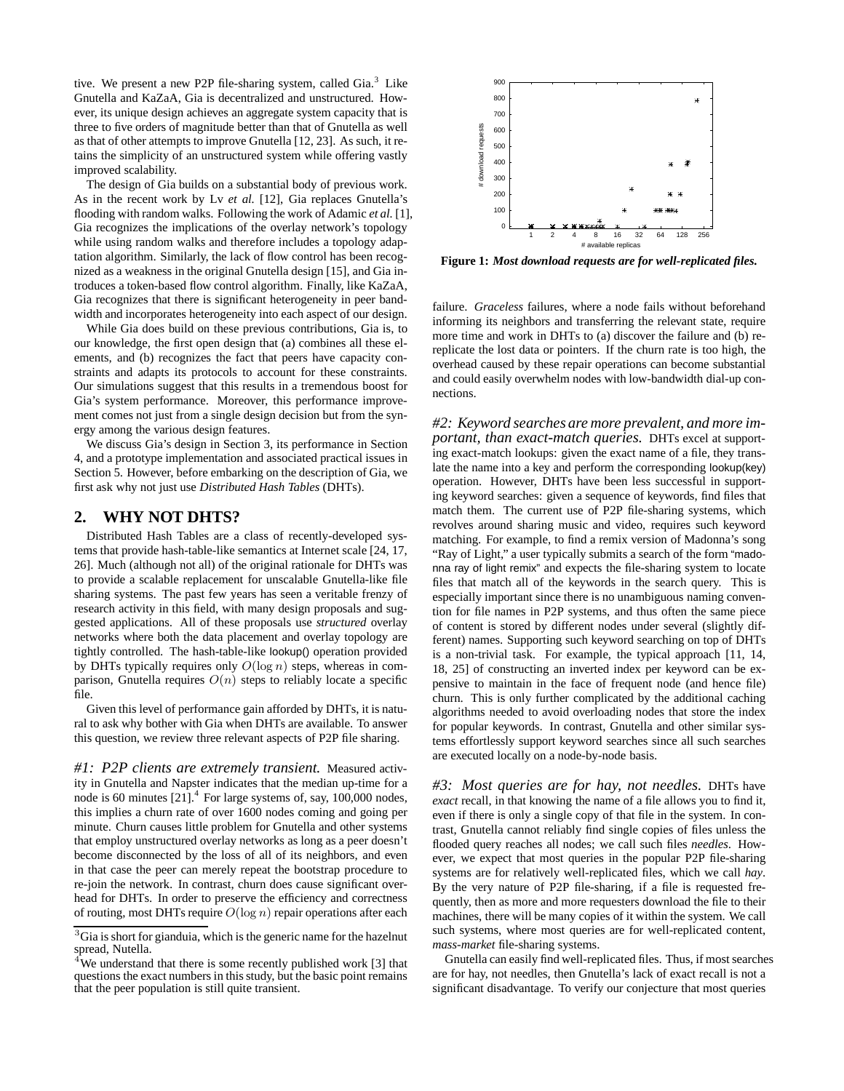tive. We present a new P2P file-sharing system, called Gia.<sup>3</sup> Like Gnutella and KaZaA, Gia is decentralized and unstructured. However, its unique design achieves an aggregate system capacity that is three to five orders of magnitude better than that of Gnutella as well as that of other attempts to improve Gnutella [12, 23]. As such, it retains the simplicity of an unstructured system while offering vastly improved scalability.

The design of Gia builds on a substantial body of previous work. As in the recent work by Lv *et al.* [12], Gia replaces Gnutella's flooding with random walks. Following the work of Adamic *et al.* [1], Gia recognizes the implications of the overlay network's topology while using random walks and therefore includes a topology adaptation algorithm. Similarly, the lack of flow control has been recognized as a weakness in the original Gnutella design [15], and Gia introduces a token-based flow control algorithm. Finally, like KaZaA, Gia recognizes that there is significant heterogeneity in peer bandwidth and incorporates heterogeneity into each aspect of our design.

While Gia does build on these previous contributions, Gia is, to our knowledge, the first open design that (a) combines all these elements, and (b) recognizes the fact that peers have capacity constraints and adapts its protocols to account for these constraints. Our simulations suggest that this results in a tremendous boost for Gia's system performance. Moreover, this performance improvement comes not just from a single design decision but from the synergy among the various design features.

We discuss Gia's design in Section 3, its performance in Section 4, and a prototype implementation and associated practical issues in Section 5. However, before embarking on the description of Gia, we first ask why not just use *Distributed Hash Tables* (DHTs).

### **2. WHY NOT DHTS?**

Distributed Hash Tables are a class of recently-developed systems that provide hash-table-like semantics at Internet scale [24, 17, 26]. Much (although not all) of the original rationale for DHTs was to provide a scalable replacement for unscalable Gnutella-like file sharing systems. The past few years has seen a veritable frenzy of research activity in this field, with many design proposals and suggested applications. All of these proposals use *structured* overlay networks where both the data placement and overlay topology are tightly controlled. The hash-table-like lookup() operation provided by DHTs typically requires only  $O(\log n)$  steps, whereas in comparison, Gnutella requires  $O(n)$  steps to reliably locate a specific file.

Given this level of performance gain afforded by DHTs, it is natural to ask why bother with Gia when DHTs are available. To answer this question, we review three relevant aspects of P2P file sharing.

*#1: P2P clients are extremely transient.* Measured activity in Gnutella and Napster indicates that the median up-time for a node is 60 minutes  $[21]$ .<sup>4</sup> For large systems of, say, 100,000 nodes, this implies a churn rate of over 1600 nodes coming and going per minute. Churn causes little problem for Gnutella and other systems that employ unstructured overlay networks as long as a peer doesn't become disconnected by the loss of all of its neighbors, and even in that case the peer can merely repeat the bootstrap procedure to re-join the network. In contrast, churn does cause significant overhead for DHTs. In order to preserve the efficiency and correctness of routing, most DHTs require  $O(\log n)$  repair operations after each



**Figure 1:** *Most download requests are for well-replicated files.*

failure. *Graceless* failures, where a node fails without beforehand informing its neighbors and transferring the relevant state, require more time and work in DHTs to (a) discover the failure and (b) rereplicate the lost data or pointers. If the churn rate is too high, the overhead caused by these repair operations can become substantial and could easily overwhelm nodes with low-bandwidth dial-up connections.

*#2: Keyword searches are more prevalent, and more important, than exact-match queries.* DHTs excel at supporting exact-match lookups: given the exact name of a file, they translate the name into a key and perform the corresponding lookup(key) operation. However, DHTs have been less successful in supporting keyword searches: given a sequence of keywords, find files that match them. The current use of P2P file-sharing systems, which revolves around sharing music and video, requires such keyword matching. For example, to find a remix version of Madonna's song "Ray of Light," a user typically submits a search of the form "madonna ray of light remix" and expects the file-sharing system to locate files that match all of the keywords in the search query. This is especially important since there is no unambiguous naming convention for file names in P2P systems, and thus often the same piece of content is stored by different nodes under several (slightly different) names. Supporting such keyword searching on top of DHTs is a non-trivial task. For example, the typical approach [11, 14, 18, 25] of constructing an inverted index per keyword can be expensive to maintain in the face of frequent node (and hence file) churn. This is only further complicated by the additional caching algorithms needed to avoid overloading nodes that store the index for popular keywords. In contrast, Gnutella and other similar systems effortlessly support keyword searches since all such searches are executed locally on a node-by-node basis.

*#3: Most queries are for hay, not needles.* DHTs have *exact* recall, in that knowing the name of a file allows you to find it, even if there is only a single copy of that file in the system. In contrast, Gnutella cannot reliably find single copies of files unless the flooded query reaches all nodes; we call such files *needles*. However, we expect that most queries in the popular P2P file-sharing systems are for relatively well-replicated files, which we call *hay*. By the very nature of P2P file-sharing, if a file is requested frequently, then as more and more requesters download the file to their machines, there will be many copies of it within the system. We call such systems, where most queries are for well-replicated content, *mass-market* file-sharing systems.

Gnutella can easily find well-replicated files. Thus, if most searches are for hay, not needles, then Gnutella's lack of exact recall is not a significant disadvantage. To verify our conjecture that most queries

<sup>&</sup>lt;sup>3</sup>Gia is short for gianduia, which is the generic name for the hazelnut spread, Nutella.

 $4$ We understand that there is some recently published work [3] that questions the exact numbers in thisstudy, but the basic point remains that the peer population is still quite transient.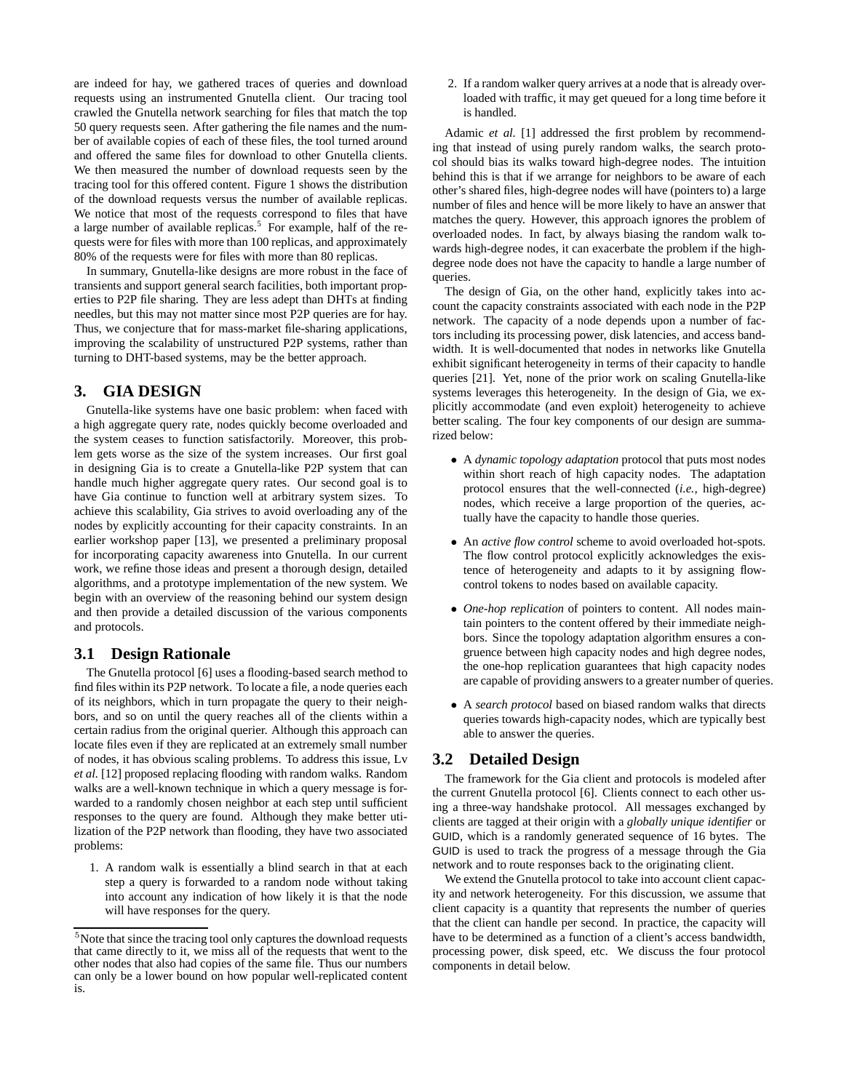are indeed for hay, we gathered traces of queries and download requests using an instrumented Gnutella client. Our tracing tool crawled the Gnutella network searching for files that match the top 50 query requests seen. After gathering the file names and the number of available copies of each of these files, the tool turned around and offered the same files for download to other Gnutella clients. We then measured the number of download requests seen by the tracing tool for this offered content. Figure 1 shows the distribution of the download requests versus the number of available replicas. We notice that most of the requests correspond to files that have a large number of available replicas.<sup>5</sup> For example, half of the requests were for files with more than 100 replicas, and approximately 80% of the requests were for files with more than 80 replicas.

In summary, Gnutella-like designs are more robust in the face of transients and support general search facilities, both important properties to P2P file sharing. They are less adept than DHTs at finding needles, but this may not matter since most P2P queries are for hay. Thus, we conjecture that for mass-market file-sharing applications, improving the scalability of unstructured P2P systems, rather than turning to DHT-based systems, may be the better approach.

### **3. GIA DESIGN**

Gnutella-like systems have one basic problem: when faced with a high aggregate query rate, nodes quickly become overloaded and the system ceases to function satisfactorily. Moreover, this problem gets worse as the size of the system increases. Our first goal in designing Gia is to create a Gnutella-like P2P system that can handle much higher aggregate query rates. Our second goal is to have Gia continue to function well at arbitrary system sizes. To achieve this scalability, Gia strives to avoid overloading any of the nodes by explicitly accounting for their capacity constraints. In an earlier workshop paper [13], we presented a preliminary proposal for incorporating capacity awareness into Gnutella. In our current work, we refine those ideas and present a thorough design, detailed algorithms, and a prototype implementation of the new system. We begin with an overview of the reasoning behind our system design and then provide a detailed discussion of the various components and protocols.

### **3.1 Design Rationale**

The Gnutella protocol [6] uses a flooding-based search method to find files within its P2P network. To locate a file, a node queries each of its neighbors, which in turn propagate the query to their neighbors, and so on until the query reaches all of the clients within a certain radius from the original querier. Although this approach can locate files even if they are replicated at an extremely small number of nodes, it has obvious scaling problems. To address this issue, Lv *et al.* [12] proposed replacing flooding with random walks. Random walks are a well-known technique in which a query message is forwarded to a randomly chosen neighbor at each step until sufficient responses to the query are found. Although they make better utilization of the P2P network than flooding, they have two associated problems:

1. A random walk is essentially a blind search in that at each step a query is forwarded to a random node without taking into account any indication of how likely it is that the node will have responses for the query.

2. If a random walker query arrives at a node that is already overloaded with traffic, it may get queued for a long time before it is handled.

Adamic *et al.* [1] addressed the first problem by recommending that instead of using purely random walks, the search protocol should bias its walks toward high-degree nodes. The intuition behind this is that if we arrange for neighbors to be aware of each other's shared files, high-degree nodes will have (pointers to) a large number of files and hence will be more likely to have an answer that matches the query. However, this approach ignores the problem of overloaded nodes. In fact, by always biasing the random walk towards high-degree nodes, it can exacerbate the problem if the highdegree node does not have the capacity to handle a large number of queries.

The design of Gia, on the other hand, explicitly takes into account the capacity constraints associated with each node in the P2P network. The capacity of a node depends upon a number of factors including its processing power, disk latencies, and access bandwidth. It is well-documented that nodes in networks like Gnutella exhibit significant heterogeneity in terms of their capacity to handle queries [21]. Yet, none of the prior work on scaling Gnutella-like systems leverages this heterogeneity. In the design of Gia, we explicitly accommodate (and even exploit) heterogeneity to achieve better scaling. The four key components of our design are summarized below:

- A *dynamic topology adaptation* protocol that puts most nodes within short reach of high capacity nodes. The adaptation protocol ensures that the well-connected (*i.e.,* high-degree) nodes, which receive a large proportion of the queries, actually have the capacity to handle those queries.
- An *active flow control* scheme to avoid overloaded hot-spots. The flow control protocol explicitly acknowledges the existence of heterogeneity and adapts to it by assigning flowcontrol tokens to nodes based on available capacity.
- *One-hop replication* of pointers to content. All nodes maintain pointers to the content offered by their immediate neighbors. Since the topology adaptation algorithm ensures a congruence between high capacity nodes and high degree nodes, the one-hop replication guarantees that high capacity nodes are capable of providing answers to a greater number of queries.
- A *search protocol* based on biased random walks that directs queries towards high-capacity nodes, which are typically best able to answer the queries.

# **3.2 Detailed Design**

The framework for the Gia client and protocols is modeled after the current Gnutella protocol [6]. Clients connect to each other using a three-way handshake protocol. All messages exchanged by clients are tagged at their origin with a *globally unique identifier* or GUID, which is a randomly generated sequence of 16 bytes. The GUID is used to track the progress of a message through the Gia network and to route responses back to the originating client.

We extend the Gnutella protocol to take into account client capacity and network heterogeneity. For this discussion, we assume that client capacity is a quantity that represents the number of queries that the client can handle per second. In practice, the capacity will have to be determined as a function of a client's access bandwidth, processing power, disk speed, etc. We discuss the four protocol components in detail below.

<sup>5</sup>Note that since the tracing tool only captures the download requests that came directly to it, we miss all of the requests that went to the other nodes that also had copies of the same file. Thus our numbers can only be a lower bound on how popular well-replicated content is.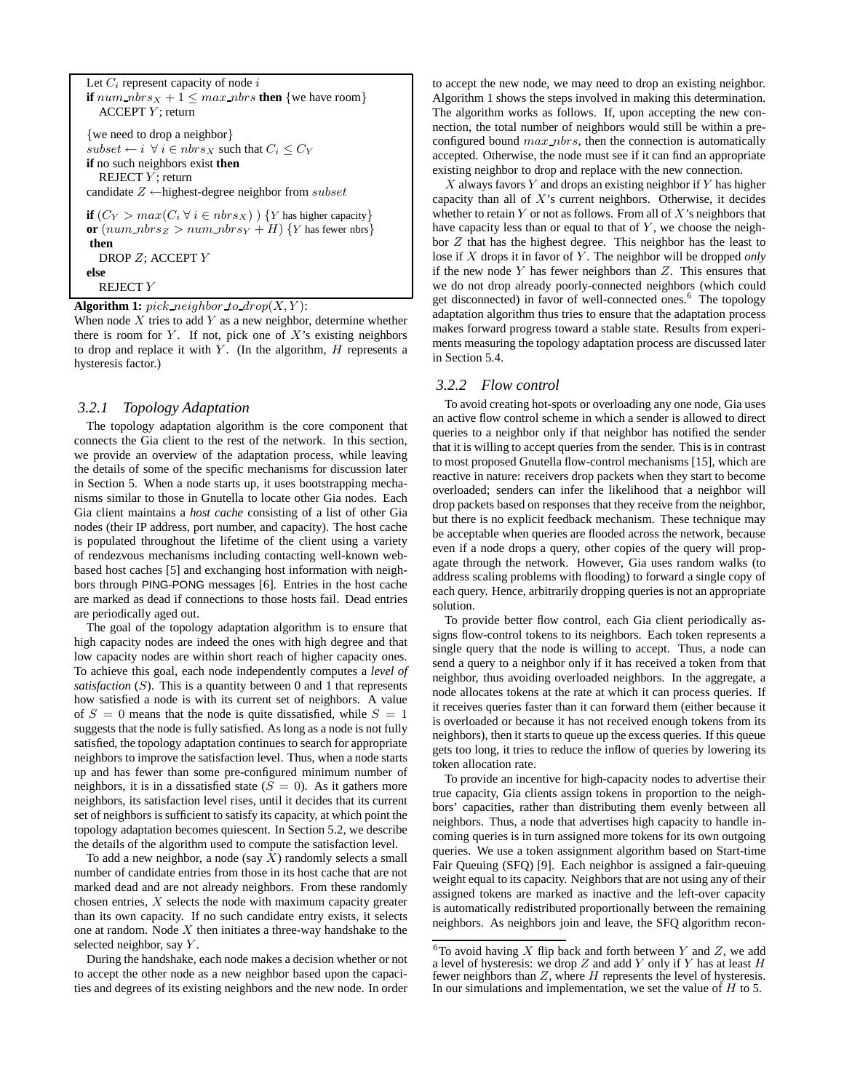Let  $C_i$  represent capacity of node i **if**  $num\_nbrs_X + 1 \leq max\_nbrs$  **then** {we have room}  $ACCEPTY$ ; return {we need to drop a neighbor}  $subset$   $i \forall i \in nbrs_X$  such that  $C_i \leq C_Y$ **if** no such neighbors exist **then** REJECT  $Y$ ; return candidate  $Z \leftarrow$ highest-degree neighbor from subset **if**  $(C_Y > max(C_i \forall i \in nbrs_X))$  {Y has higher capacity} **or**  $(num\_nbrs_Z > num\_nbrs_Y + H)$  {Y has fewer nbrs} **then** DROP Z; ACCEPT Y **else** REJECT Y

**Algorithm 1:** pick neighbor to  $drop(X, Y)$ :

When node  $X$  tries to add  $Y$  as a new neighbor, determine whether there is room for  $Y$ . If not, pick one of  $X$ 's existing neighbors to drop and replace it with  $Y$ . (In the algorithm,  $H$  represents a hysteresis factor.)

#### *3.2.1 Topology Adaptation*

The topology adaptation algorithm is the core component that connects the Gia client to the rest of the network. In this section, we provide an overview of the adaptation process, while leaving the details of some of the specific mechanisms for discussion later in Section 5. When a node starts up, it uses bootstrapping mechanisms similar to those in Gnutella to locate other Gia nodes. Each Gia client maintains a *host cache* consisting of a list of other Gia nodes (their IP address, port number, and capacity). The host cache is populated throughout the lifetime of the client using a variety of rendezvous mechanisms including contacting well-known webbased host caches [5] and exchanging host information with neighbors through PING-PONG messages [6]. Entries in the host cache are marked as dead if connections to those hosts fail. Dead entries are periodically aged out.

The goal of the topology adaptation algorithm is to ensure that high capacity nodes are indeed the ones with high degree and that low capacity nodes are within short reach of higher capacity ones. To achieve this goal, each node independently computes a *level of satisfaction* (S). This is a quantity between 0 and 1 that represents how satisfied a node is with its current set of neighbors. A value of  $S = 0$  means that the node is quite dissatisfied, while  $S = 1$ suggests that the node is fully satisfied. As long as a node is not fully satisfied, the topology adaptation continues to search for appropriate neighbors to improve the satisfaction level. Thus, when a node starts up and has fewer than some pre-configured minimum number of neighbors, it is in a dissatisfied state  $(S = 0)$ . As it gathers more neighbors, its satisfaction level rises, until it decides that its current set of neighbors is sufficient to satisfy its capacity, at which point the topology adaptation becomes quiescent. In Section 5.2, we describe the details of the algorithm used to compute the satisfaction level.

To add a new neighbor, a node (say  $X$ ) randomly selects a small number of candidate entries from those in its host cache that are not marked dead and are not already neighbors. From these randomly chosen entries,  $X$  selects the node with maximum capacity greater than its own capacity. If no such candidate entry exists, it selects one at random. Node  $X$  then initiates a three-way handshake to the selected neighbor, say Y .

During the handshake, each node makes a decision whether or not to accept the other node as a new neighbor based upon the capacities and degrees of its existing neighbors and the new node. In order to accept the new node, we may need to drop an existing neighbor. Algorithm 1 shows the steps involved in making this determination. The algorithm works as follows. If, upon accepting the new connection, the total number of neighbors would still be within a preconfigured bound  $max\_nbrs$ , then the connection is automatically accepted. Otherwise, the node must see if it can find an appropriate existing neighbor to drop and replace with the new connection.

 $X$  always favors Y and drops an existing neighbor if Y has higher capacity than all of  $X$ 's current neighbors. Otherwise, it decides whether to retain  $Y$  or not as follows. From all of  $X$ 's neighbors that have capacity less than or equal to that of  $Y$ , we choose the neighbor Z that has the highest degree. This neighbor has the least to lose if X drops it in favor of Y. The neighbor will be dropped *only* if the new node  $Y$  has fewer neighbors than  $Z$ . This ensures that we do not drop already poorly-connected neighbors (which could get disconnected) in favor of well-connected ones.<sup>6</sup> The topology adaptation algorithm thus tries to ensure that the adaptation process makes forward progress toward a stable state. Results from experiments measuring the topology adaptation process are discussed later in Section 5.4.

#### *3.2.2 Flow control*

To avoid creating hot-spots or overloading any one node, Gia uses an active flow control scheme in which a sender is allowed to direct queries to a neighbor only if that neighbor has notified the sender that it is willing to accept queries from the sender. This is in contrast to most proposed Gnutella flow-control mechanisms [15], which are reactive in nature: receivers drop packets when they start to become overloaded; senders can infer the likelihood that a neighbor will drop packets based on responses that they receive from the neighbor, but there is no explicit feedback mechanism. These technique may be acceptable when queries are flooded across the network, because even if a node drops a query, other copies of the query will propagate through the network. However, Gia uses random walks (to address scaling problems with flooding) to forward a single copy of each query. Hence, arbitrarily dropping queries is not an appropriate solution.

To provide better flow control, each Gia client periodically assigns flow-control tokens to its neighbors. Each token represents a single query that the node is willing to accept. Thus, a node can send a query to a neighbor only if it has received a token from that neighbor, thus avoiding overloaded neighbors. In the aggregate, a node allocates tokens at the rate at which it can process queries. If it receives queries faster than it can forward them (either because it is overloaded or because it has not received enough tokens from its neighbors), then it starts to queue up the excess queries. If this queue gets too long, it tries to reduce the inflow of queries by lowering its token allocation rate.

To provide an incentive for high-capacity nodes to advertise their true capacity, Gia clients assign tokens in proportion to the neighbors' capacities, rather than distributing them evenly between all neighbors. Thus, a node that advertises high capacity to handle incoming queries is in turn assigned more tokens for its own outgoing queries. We use a token assignment algorithm based on Start-time Fair Queuing (SFQ) [9]. Each neighbor is assigned a fair-queuing weight equal to its capacity. Neighbors that are not using any of their assigned tokens are marked as inactive and the left-over capacity is automatically redistributed proportionally between the remaining neighbors. As neighbors join and leave, the SFQ algorithm recon-

<sup>&</sup>lt;sup>6</sup>To avoid having X flip back and forth between Y and Z, we add a level of hysteresis: we drop  $Z$  and add  $Y$  only if  $Y$  has at least  $H$ fewer neighbors than  $Z$ , where  $H$  represents the level of hysteresis. In our simulations and implementation, we set the value of  $H$  to 5.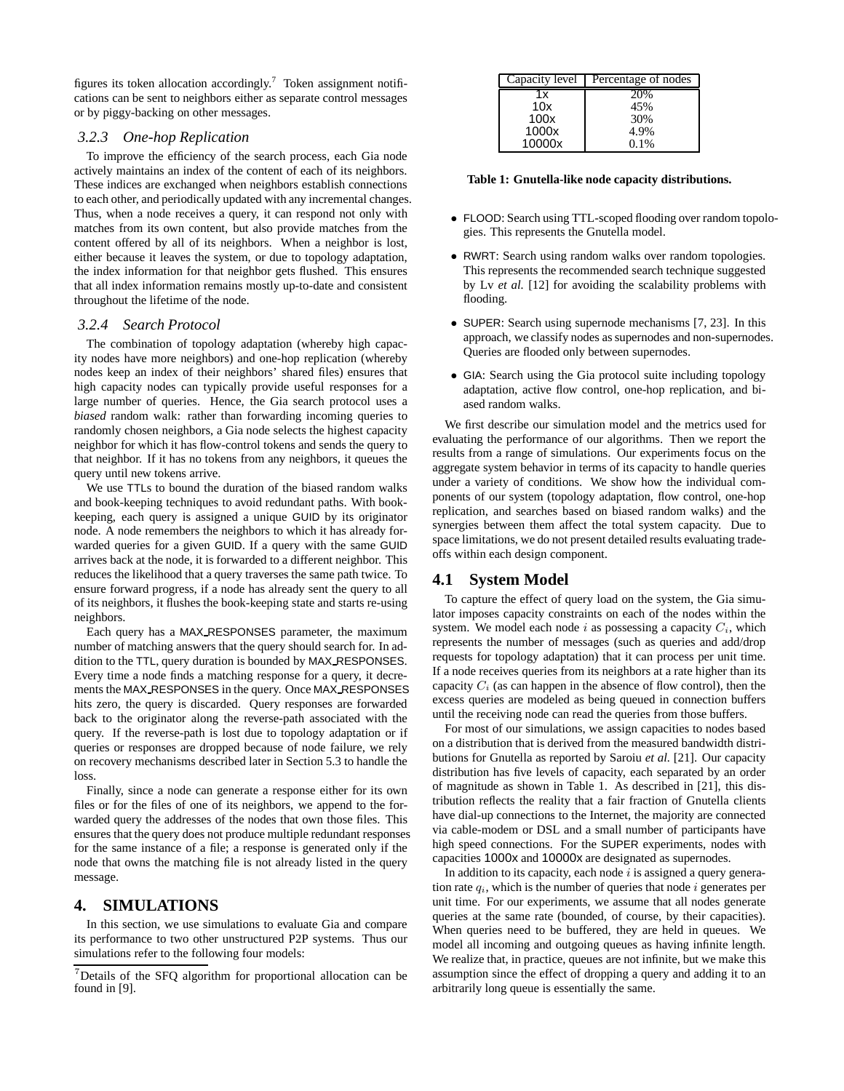figures its token allocation accordingly.<sup>7</sup> Token assignment notifications can be sent to neighbors either as separate control messages or by piggy-backing on other messages.

#### *3.2.3 One-hop Replication*

To improve the efficiency of the search process, each Gia node actively maintains an index of the content of each of its neighbors. These indices are exchanged when neighbors establish connections to each other, and periodically updated with any incremental changes. Thus, when a node receives a query, it can respond not only with matches from its own content, but also provide matches from the content offered by all of its neighbors. When a neighbor is lost, either because it leaves the system, or due to topology adaptation, the index information for that neighbor gets flushed. This ensures that all index information remains mostly up-to-date and consistent throughout the lifetime of the node.

#### *3.2.4 Search Protocol*

The combination of topology adaptation (whereby high capacity nodes have more neighbors) and one-hop replication (whereby nodes keep an index of their neighbors' shared files) ensures that high capacity nodes can typically provide useful responses for a large number of queries. Hence, the Gia search protocol uses a *biased* random walk: rather than forwarding incoming queries to randomly chosen neighbors, a Gia node selects the highest capacity neighbor for which it has flow-control tokens and sends the query to that neighbor. If it has no tokens from any neighbors, it queues the query until new tokens arrive.

We use TTLs to bound the duration of the biased random walks and book-keeping techniques to avoid redundant paths. With bookkeeping, each query is assigned a unique GUID by its originator node. A node remembers the neighbors to which it has already forwarded queries for a given GUID. If a query with the same GUID arrives back at the node, it is forwarded to a different neighbor. This reduces the likelihood that a query traverses the same path twice. To ensure forward progress, if a node has already sent the query to all of its neighbors, it flushes the book-keeping state and starts re-using neighbors.

Each query has a MAX RESPONSES parameter, the maximum number of matching answers that the query should search for. In addition to the TTL, query duration is bounded by MAX RESPONSES. Every time a node finds a matching response for a query, it decrements the MAX RESPONSES in the query. Once MAX RESPONSES hits zero, the query is discarded. Query responses are forwarded back to the originator along the reverse-path associated with the query. If the reverse-path is lost due to topology adaptation or if queries or responses are dropped because of node failure, we rely on recovery mechanisms described later in Section 5.3 to handle the loss.

Finally, since a node can generate a response either for its own files or for the files of one of its neighbors, we append to the forwarded query the addresses of the nodes that own those files. This ensures that the query does not produce multiple redundant responses for the same instance of a file; a response is generated only if the node that owns the matching file is not already listed in the query message.

# **4. SIMULATIONS**

In this section, we use simulations to evaluate Gia and compare its performance to two other unstructured P2P systems. Thus our simulations refer to the following four models:

| Capacity level | Percentage of nodes |
|----------------|---------------------|
| 1 x            | 20%                 |
| 10x            | 45%                 |
| 100x           | 30%                 |
| 1000x          | 4.9%                |
| 10000x         | $0.1\%$             |

**Table 1: Gnutella-like node capacity distributions.**

- FLOOD: Search using TTL-scoped flooding over random topologies. This represents the Gnutella model.
- RWRT: Search using random walks over random topologies. This represents the recommended search technique suggested by Lv *et al.* [12] for avoiding the scalability problems with flooding.
- SUPER: Search using supernode mechanisms [7, 23]. In this approach, we classify nodes assupernodes and non-supernodes. Queries are flooded only between supernodes.
- GIA: Search using the Gia protocol suite including topology adaptation, active flow control, one-hop replication, and biased random walks.

We first describe our simulation model and the metrics used for evaluating the performance of our algorithms. Then we report the results from a range of simulations. Our experiments focus on the aggregate system behavior in terms of its capacity to handle queries under a variety of conditions. We show how the individual components of our system (topology adaptation, flow control, one-hop replication, and searches based on biased random walks) and the synergies between them affect the total system capacity. Due to space limitations, we do not present detailed results evaluating tradeoffs within each design component.

# **4.1 System Model**

To capture the effect of query load on the system, the Gia simulator imposes capacity constraints on each of the nodes within the system. We model each node i as possessing a capacity  $C_i$ , which represents the number of messages (such as queries and add/drop requests for topology adaptation) that it can process per unit time. If a node receives queries from its neighbors at a rate higher than its capacity  $C_i$  (as can happen in the absence of flow control), then the excess queries are modeled as being queued in connection buffers until the receiving node can read the queries from those buffers.

For most of our simulations, we assign capacities to nodes based on a distribution that is derived from the measured bandwidth distributions for Gnutella as reported by Saroiu *et al.* [21]. Our capacity distribution has five levels of capacity, each separated by an order of magnitude as shown in Table 1. As described in [21], this distribution reflects the reality that a fair fraction of Gnutella clients have dial-up connections to the Internet, the majority are connected via cable-modem or DSL and a small number of participants have high speed connections. For the SUPER experiments, nodes with capacities 1000x and 10000x are designated as supernodes.

In addition to its capacity, each node  $i$  is assigned a query generation rate  $q_i$ , which is the number of queries that node i generates per unit time. For our experiments, we assume that all nodes generate queries at the same rate (bounded, of course, by their capacities). When queries need to be buffered, they are held in queues. We model all incoming and outgoing queues as having infinite length. We realize that, in practice, queues are not infinite, but we make this assumption since the effect of dropping a query and adding it to an arbitrarily long queue is essentially the same.

<sup>7</sup>Details of the SFQ algorithm for proportional allocation can be found in [9].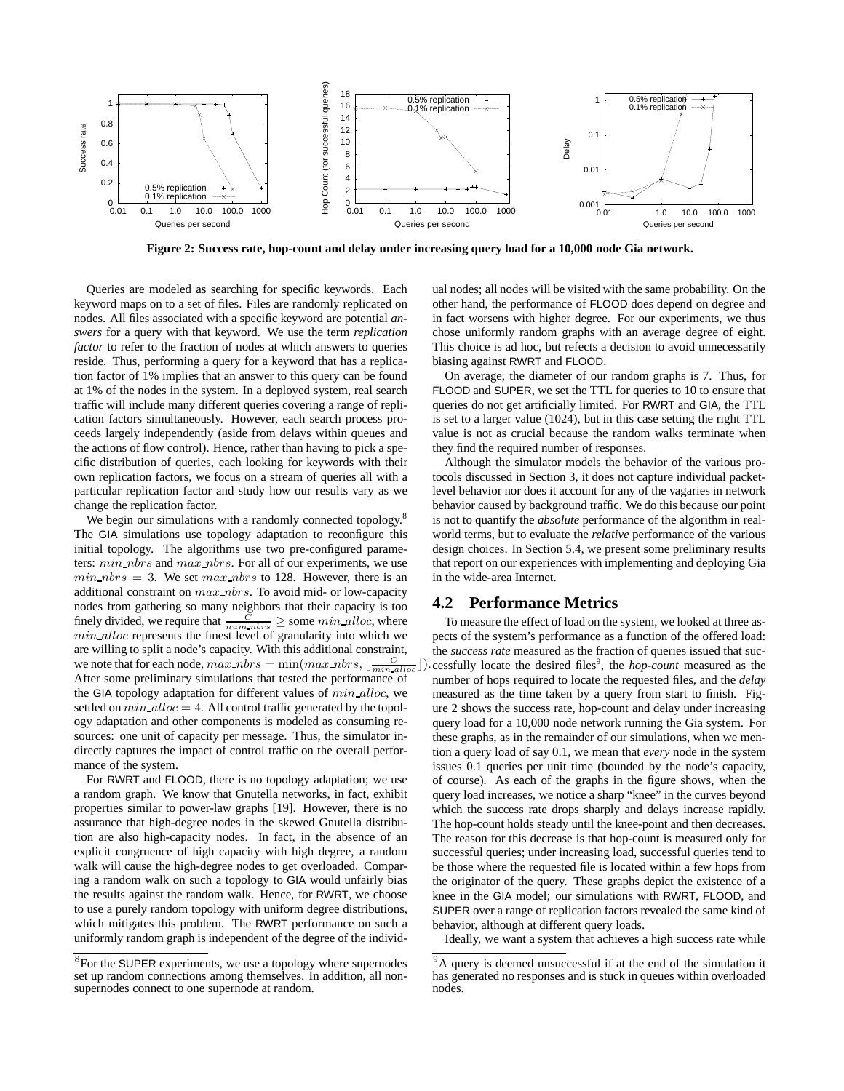

**Figure 2: Success rate, hop-count and delay under increasing query load for a 10,000 node Gia network.**

Queries are modeled as searching for specific keywords. Each keyword maps on to a set of files. Files are randomly replicated on nodes. All files associated with a specific keyword are potential *answers* for a query with that keyword. We use the term *replication factor* to refer to the fraction of nodes at which answers to queries reside. Thus, performing a query for a keyword that has a replication factor of 1% implies that an answer to this query can be found at 1% of the nodes in the system. In a deployed system, real search traffic will include many different queries covering a range of replication factors simultaneously. However, each search process proceeds largely independently (aside from delays within queues and the actions of flow control). Hence, rather than having to pick a specific distribution of queries, each looking for keywords with their own replication factors, we focus on a stream of queries all with a particular replication factor and study how our results vary as we change the replication factor.

We begin our simulations with a randomly connected topology.<sup>8</sup> The GIA simulations use topology adaptation to reconfigure this initial topology. The algorithms use two pre-configured parameters:  $min\_nbrs$  and  $max\_nbrs$ . For all of our experiments, we use  $min\_nbrs = 3$ . We set  $max\_nbrs$  to 128. However, there is an additional constraint on  $max\_nbrs$ . To avoid mid- or low-capacity nodes from gathering so many neighbors that their capacity is too finely divided, we require that  $\frac{\tilde{C}}{num\_nbrs} \ge$  some  $min\_alloc$ , where min alloc represents the finest level of granularity into which we are willing to split a node's capacity. With this additional constraint, we note that for each node,  $max\_nbrs = min(max\_nbrs, \lfloor \frac{C}{min\_alloc} \rfloor).$ After some preliminary simulations that tested the performance of the GIA topology adaptation for different values of  $min$  alloc, we settled on  $min\_alloc = 4$ . All control traffic generated by the topology adaptation and other components is modeled as consuming resources: one unit of capacity per message. Thus, the simulator indirectly captures the impact of control traffic on the overall performance of the system.

For RWRT and FLOOD, there is no topology adaptation; we use a random graph. We know that Gnutella networks, in fact, exhibit properties similar to power-law graphs [19]. However, there is no assurance that high-degree nodes in the skewed Gnutella distribution are also high-capacity nodes. In fact, in the absence of an explicit congruence of high capacity with high degree, a random walk will cause the high-degree nodes to get overloaded. Comparing a random walk on such a topology to GIA would unfairly bias the results against the random walk. Hence, for RWRT, we choose to use a purely random topology with uniform degree distributions, which mitigates this problem. The RWRT performance on such a uniformly random graph is independent of the degree of the individual nodes; all nodes will be visited with the same probability. On the other hand, the performance of FLOOD does depend on degree and in fact worsens with higher degree. For our experiments, we thus chose uniformly random graphs with an average degree of eight. This choice is ad hoc, but refects a decision to avoid unnecessarily biasing against RWRT and FLOOD.

On average, the diameter of our random graphs is 7. Thus, for FLOOD and SUPER, we set the TTL for queries to 10 to ensure that queries do not get artificially limited. For RWRT and GIA, the TTL is set to a larger value (1024), but in this case setting the right TTL value is not as crucial because the random walks terminate when they find the required number of responses.

Although the simulator models the behavior of the various protocols discussed in Section 3, it does not capture individual packetlevel behavior nor does it account for any of the vagaries in network behavior caused by background traffic. We do this because our point is not to quantify the *absolute* performance of the algorithm in realworld terms, but to evaluate the *relative* performance of the various design choices. In Section 5.4, we present some preliminary results that report on our experiences with implementing and deploying Gia in the wide-area Internet.

#### **4.2 Performance Metrics**

To measure the effect of load on the system, we looked at three aspects of the system's performance as a function of the offered load: the *success rate* measured as the fraction of queries issued that successfully locate the desired files<sup>9</sup>, the *hop-count* measured as the number of hops required to locate the requested files, and the *delay* measured as the time taken by a query from start to finish. Figure 2 shows the success rate, hop-count and delay under increasing query load for a 10,000 node network running the Gia system. For these graphs, as in the remainder of our simulations, when we mention a query load of say 0.1, we mean that *every* node in the system issues 0.1 queries per unit time (bounded by the node's capacity, of course). As each of the graphs in the figure shows, when the query load increases, we notice a sharp "knee" in the curves beyond which the success rate drops sharply and delays increase rapidly. The hop-count holds steady until the knee-point and then decreases. The reason for this decrease is that hop-count is measured only for successful queries; under increasing load, successful queries tend to be those where the requested file is located within a few hops from the originator of the query. These graphs depict the existence of a knee in the GIA model; our simulations with RWRT, FLOOD, and SUPER over a range of replication factors revealed the same kind of behavior, although at different query loads.

Ideally, we want a system that achieves a high success rate while

<sup>&</sup>lt;sup>8</sup> For the SUPER experiments, we use a topology where supernodes set up random connections among themselves. In addition, all nonsupernodes connect to one supernode at random.

<sup>&</sup>lt;sup>9</sup>A query is deemed unsuccessful if at the end of the simulation it has generated no responses and is stuck in queues within overloaded nodes.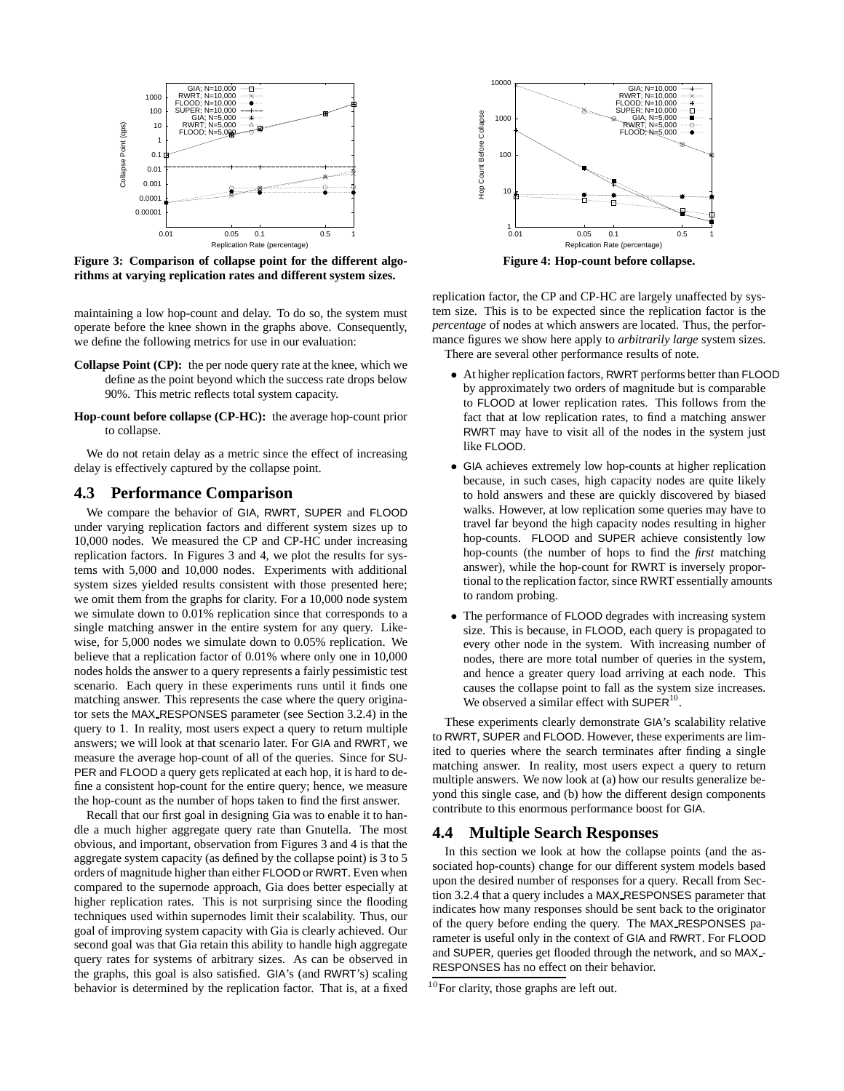

**Figure 3: Comparison of collapse point for the different algorithms at varying replication rates and different system sizes.**

maintaining a low hop-count and delay. To do so, the system must operate before the knee shown in the graphs above. Consequently, we define the following metrics for use in our evaluation:

- **Collapse Point (CP):** the per node query rate at the knee, which we define as the point beyond which the success rate drops below 90%. This metric reflects total system capacity.
- **Hop-count before collapse (CP-HC):** the average hop-count prior to collapse.

We do not retain delay as a metric since the effect of increasing delay is effectively captured by the collapse point.

### **4.3 Performance Comparison**

We compare the behavior of GIA, RWRT, SUPER and FLOOD under varying replication factors and different system sizes up to 10,000 nodes. We measured the CP and CP-HC under increasing replication factors. In Figures 3 and 4, we plot the results for systems with 5,000 and 10,000 nodes. Experiments with additional system sizes yielded results consistent with those presented here; we omit them from the graphs for clarity. For a 10,000 node system we simulate down to 0.01% replication since that corresponds to a single matching answer in the entire system for any query. Likewise, for 5,000 nodes we simulate down to 0.05% replication. We believe that a replication factor of 0.01% where only one in 10,000 nodes holds the answer to a query represents a fairly pessimistic test scenario. Each query in these experiments runs until it finds one matching answer. This represents the case where the query originator sets the MAX RESPONSES parameter (see Section 3.2.4) in the query to 1. In reality, most users expect a query to return multiple answers; we will look at that scenario later. For GIA and RWRT, we measure the average hop-count of all of the queries. Since for SU-PER and FLOOD a query gets replicated at each hop, it is hard to define a consistent hop-count for the entire query; hence, we measure the hop-count as the number of hops taken to find the first answer.

Recall that our first goal in designing Gia was to enable it to handle a much higher aggregate query rate than Gnutella. The most obvious, and important, observation from Figures 3 and 4 is that the aggregate system capacity (as defined by the collapse point) is 3 to 5 orders of magnitude higher than either FLOOD or RWRT. Even when compared to the supernode approach, Gia does better especially at higher replication rates. This is not surprising since the flooding techniques used within supernodes limit their scalability. Thus, our goal of improving system capacity with Gia is clearly achieved. Our second goal was that Gia retain this ability to handle high aggregate query rates for systems of arbitrary sizes. As can be observed in the graphs, this goal is also satisfied. GIA's (and RWRT's) scaling behavior is determined by the replication factor. That is, at a fixed



replication factor, the CP and CP-HC are largely unaffected by system size. This is to be expected since the replication factor is the *percentage* of nodes at which answers are located. Thus, the performance figures we show here apply to *arbitrarily large* system sizes.

There are several other performance results of note.

- At higher replication factors, RWRT performs better than FLOOD by approximately two orders of magnitude but is comparable to FLOOD at lower replication rates. This follows from the fact that at low replication rates, to find a matching answer RWRT may have to visit all of the nodes in the system just like FLOOD.
- GIA achieves extremely low hop-counts at higher replication because, in such cases, high capacity nodes are quite likely to hold answers and these are quickly discovered by biased walks. However, at low replication some queries may have to travel far beyond the high capacity nodes resulting in higher hop-counts. FLOOD and SUPER achieve consistently low hop-counts (the number of hops to find the *first* matching answer), while the hop-count for RWRT is inversely proportional to the replication factor, since RWRT essentially amounts to random probing.
- The performance of FLOOD degrades with increasing system size. This is because, in FLOOD, each query is propagated to every other node in the system. With increasing number of nodes, there are more total number of queries in the system, and hence a greater query load arriving at each node. This causes the collapse point to fall as the system size increases. We observed a similar effect with SUPER $^{10}$ .

These experiments clearly demonstrate GIA's scalability relative to RWRT, SUPER and FLOOD. However, these experiments are limited to queries where the search terminates after finding a single matching answer. In reality, most users expect a query to return multiple answers. We now look at (a) how our results generalize beyond this single case, and (b) how the different design components contribute to this enormous performance boost for GIA.

## **4.4 Multiple Search Responses**

In this section we look at how the collapse points (and the associated hop-counts) change for our different system models based upon the desired number of responses for a query. Recall from Section 3.2.4 that a query includes a MAX RESPONSES parameter that indicates how many responses should be sent back to the originator of the query before ending the query. The MAX RESPONSES parameter is useful only in the context of GIA and RWRT. For FLOOD and SUPER, queries get flooded through the network, and so MAX - RESPONSES has no effect on their behavior.

<sup>&</sup>lt;sup>10</sup>For clarity, those graphs are left out.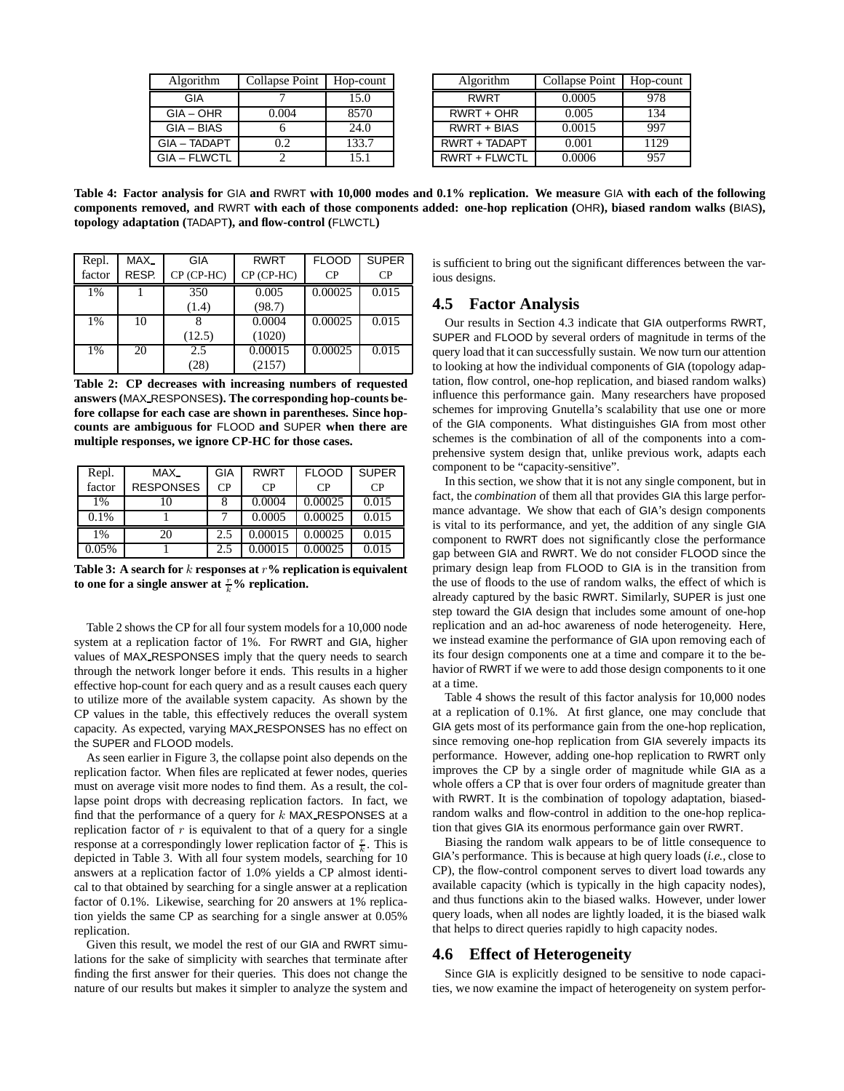| Algorithm           | Collapse Point | Hop-count |
|---------------------|----------------|-----------|
| GIA                 |                | 15.0      |
| $GIA - OHR$         | 0.004          | 8570      |
| $GIA - BIAS$        |                | 24.0      |
| <b>GIA - TADAPT</b> | 02             | 133.7     |
| <b>GIA - FLWCTL</b> |                | 151       |

| Algorithm            | Collapse Point | Hop-count |
|----------------------|----------------|-----------|
| <b>RWRT</b>          | 0.0005         | 978       |
| RWRT + OHR           | 0.005          | 134       |
| <b>RWRT + BIAS</b>   | 0.0015         | 997       |
| RWRT + TADAPT        | 0.001          | 1129      |
| <b>RWRT + FLWCTL</b> | 0.0006         | 957       |

Table 4: Factor analysis for GIA and RWRT with 10,000 modes and 0.1% replication. We measure GIA with each of the following components removed, and RWRT with each of those components added: one-hop replication (OHR), biased random walks (BIAS), **topology adaptation (**TADAPT**), and flow-control (**FLWCTL**)**

| Repl.  | MAX.  | GIA        | <b>RWRT</b> | <b>FLOOD</b> | <b>SUPER</b> |
|--------|-------|------------|-------------|--------------|--------------|
| factor | RESP. | CP (CP-HC) | CP (CP-HC)  | CP           | CP           |
| 1%     |       | 350        | 0.005       | 0.00025      | 0.015        |
|        |       | (1.4)      | (98.7)      |              |              |
| 1%     | 10    |            | 0.0004      | 0.00025      | 0.015        |
|        |       | (12.5)     | (1020)      |              |              |
| 1%     | 20    | 2.5        | 0.00015     | 0.00025      | 0.015        |
|        |       | (28)       | (2157)      |              |              |

**Table 2: CP decreases with increasing numbers of requested answers (**MAX RESPONSES**). The corresponding hop-counts before collapse for each case are shown in parentheses. Since hopcounts are ambiguous for** FLOOD **and** SUPER **when there are multiple responses, we ignore CP-HC for those cases.**

| Repl.  | MAX <sub>-</sub> | GIA | <b>RWRT</b> | <b>FLOOD</b> | <b>SUPER</b> |
|--------|------------------|-----|-------------|--------------|--------------|
| factor | <b>RESPONSES</b> | CP  | CP          | CP           | CP           |
| 1%     | 10               |     | 0.0004      | 0.00025      | 0.015        |
| 0.1%   |                  |     | 0.0005      | 0.00025      | 0.015        |
| 1%     | 20               | 2.5 | 0.00015     | 0.00025      | 0.015        |
| 0.05%  |                  | 2.5 | 0.00015     | 0.00025      | 0.015        |

**Table 3: A search for** k **responses at** r**% replication is equivalent to** one for a single answer at  $\frac{r}{k}$ % replication.

Table 2 shows the CP for all four system models for a 10,000 node system at a replication factor of 1%. For RWRT and GIA, higher values of MAX RESPONSES imply that the query needs to search through the network longer before it ends. This results in a higher effective hop-count for each query and as a result causes each query to utilize more of the available system capacity. As shown by the CP values in the table, this effectively reduces the overall system capacity. As expected, varying MAX RESPONSES has no effect on the SUPER and FLOOD models.

As seen earlier in Figure 3, the collapse point also depends on the replication factor. When files are replicated at fewer nodes, queries must on average visit more nodes to find them. As a result, the collapse point drops with decreasing replication factors. In fact, we find that the performance of a query for  $k$  MAX RESPONSES at a replication factor of  $r$  is equivalent to that of a query for a single response at a correspondingly lower replication factor of  $\frac{r}{k}$ . This is depicted in Table 3. With all four system models, searching for 10 answers at a replication factor of 1.0% yields a CP almost identical to that obtained by searching for a single answer at a replication factor of 0.1%. Likewise, searching for 20 answers at 1% replication yields the same CP as searching for a single answer at 0.05% replication.

Given this result, we model the rest of our GIA and RWRT simulations for the sake of simplicity with searches that terminate after finding the first answer for their queries. This does not change the nature of our results but makes it simpler to analyze the system and is sufficient to bring out the significant differences between the various designs.

# **4.5 Factor Analysis**

Our results in Section 4.3 indicate that GIA outperforms RWRT, SUPER and FLOOD by several orders of magnitude in terms of the query load that it can successfully sustain. We now turn our attention to looking at how the individual components of GIA (topology adaptation, flow control, one-hop replication, and biased random walks) influence this performance gain. Many researchers have proposed schemes for improving Gnutella's scalability that use one or more of the GIA components. What distinguishes GIA from most other schemes is the combination of all of the components into a comprehensive system design that, unlike previous work, adapts each component to be "capacity-sensitive".

In this section, we show that it is not any single component, but in fact, the *combination* of them all that provides GIA this large performance advantage. We show that each of GIA's design components is vital to its performance, and yet, the addition of any single GIA component to RWRT does not significantly close the performance gap between GIA and RWRT. We do not consider FLOOD since the primary design leap from FLOOD to GIA is in the transition from the use of floods to the use of random walks, the effect of which is already captured by the basic RWRT. Similarly, SUPER is just one step toward the GIA design that includes some amount of one-hop replication and an ad-hoc awareness of node heterogeneity. Here, we instead examine the performance of GIA upon removing each of its four design components one at a time and compare it to the behavior of RWRT if we were to add those design components to it one at a time.

Table 4 shows the result of this factor analysis for 10,000 nodes at a replication of 0.1%. At first glance, one may conclude that GIA gets most of its performance gain from the one-hop replication, since removing one-hop replication from GIA severely impacts its performance. However, adding one-hop replication to RWRT only improves the CP by a single order of magnitude while GIA as a whole offers a CP that is over four orders of magnitude greater than with RWRT. It is the combination of topology adaptation, biasedrandom walks and flow-control in addition to the one-hop replication that gives GIA its enormous performance gain over RWRT.

Biasing the random walk appears to be of little consequence to GIA's performance. This is because at high query loads (*i.e.,* close to CP), the flow-control component serves to divert load towards any available capacity (which is typically in the high capacity nodes), and thus functions akin to the biased walks. However, under lower query loads, when all nodes are lightly loaded, it is the biased walk that helps to direct queries rapidly to high capacity nodes.

#### **4.6 Effect of Heterogeneity**

Since GIA is explicitly designed to be sensitive to node capacities, we now examine the impact of heterogeneity on system perfor-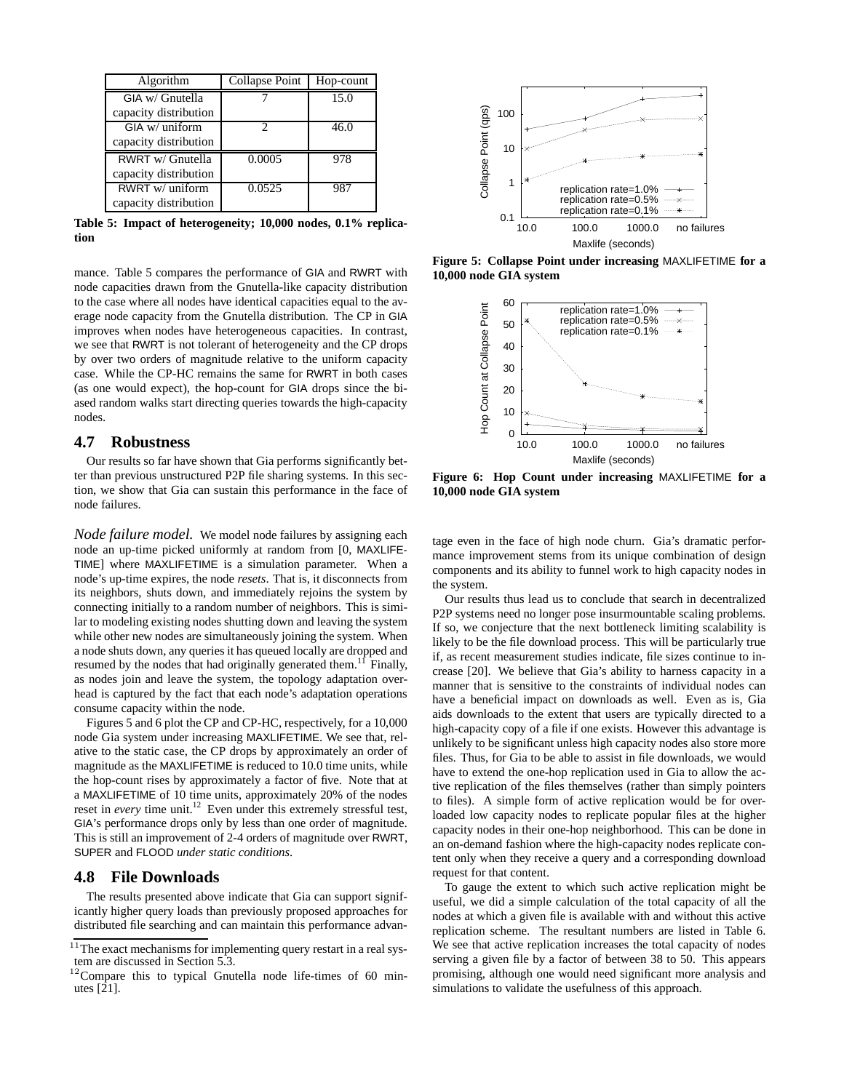| Algorithm                          | Collapse Point | Hop-count |
|------------------------------------|----------------|-----------|
| GIA w/ Gnutella                    |                | 15.0      |
| capacity distribution              |                |           |
| $GIA \, \text{w} / \text{uniform}$ | 2              | 46.0      |
| capacity distribution              |                |           |
| RWRT w/ Gnutella                   | 0.0005         | 978       |
| capacity distribution              |                |           |
| RWRT w/ uniform                    | 0.0525         | 987       |
| capacity distribution              |                |           |

**Table 5: Impact of heterogeneity; 10,000 nodes, 0.1% replication**

mance. Table 5 compares the performance of GIA and RWRT with node capacities drawn from the Gnutella-like capacity distribution to the case where all nodes have identical capacities equal to the average node capacity from the Gnutella distribution. The CP in GIA improves when nodes have heterogeneous capacities. In contrast, we see that RWRT is not tolerant of heterogeneity and the CP drops by over two orders of magnitude relative to the uniform capacity case. While the CP-HC remains the same for RWRT in both cases (as one would expect), the hop-count for GIA drops since the biased random walks start directing queries towards the high-capacity nodes.

### **4.7 Robustness**

Our results so far have shown that Gia performs significantly better than previous unstructured P2P file sharing systems. In this section, we show that Gia can sustain this performance in the face of node failures.

*Node failure model.* We model node failures by assigning each node an up-time picked uniformly at random from [0, MAXLIFE-TIME] where MAXLIFETIME is a simulation parameter. When a node's up-time expires, the node *resets*. That is, it disconnects from its neighbors, shuts down, and immediately rejoins the system by connecting initially to a random number of neighbors. This is similar to modeling existing nodes shutting down and leaving the system while other new nodes are simultaneously joining the system. When a node shuts down, any queries it has queued locally are dropped and resumed by the nodes that had originally generated them.<sup>11</sup> Finally, as nodes join and leave the system, the topology adaptation overhead is captured by the fact that each node's adaptation operations consume capacity within the node.

Figures 5 and 6 plot the CP and CP-HC, respectively, for a 10,000 node Gia system under increasing MAXLIFETIME. We see that, relative to the static case, the CP drops by approximately an order of magnitude as the MAXLIFETIME is reduced to 10.0 time units, while the hop-count rises by approximately a factor of five. Note that at a MAXLIFETIME of 10 time units, approximately 20% of the nodes reset in *every* time unit.<sup>12</sup> Even under this extremely stressful test, GIA's performance drops only by less than one order of magnitude. This is still an improvement of 2-4 orders of magnitude over RWRT, SUPER and FLOOD *under static conditions*.

# **4.8 File Downloads**

The results presented above indicate that Gia can support significantly higher query loads than previously proposed approaches for distributed file searching and can maintain this performance advan-



**Figure 5: Collapse Point under increasing** MAXLIFETIME **for a 10,000 node GIA system**



**Figure 6: Hop Count under increasing** MAXLIFETIME **for a 10,000 node GIA system**

tage even in the face of high node churn. Gia's dramatic performance improvement stems from its unique combination of design components and its ability to funnel work to high capacity nodes in the system.

Our results thus lead us to conclude that search in decentralized P2P systems need no longer pose insurmountable scaling problems. If so, we conjecture that the next bottleneck limiting scalability is likely to be the file download process. This will be particularly true if, as recent measurement studies indicate, file sizes continue to increase [20]. We believe that Gia's ability to harness capacity in a manner that is sensitive to the constraints of individual nodes can have a beneficial impact on downloads as well. Even as is, Gia aids downloads to the extent that users are typically directed to a high-capacity copy of a file if one exists. However this advantage is unlikely to be significant unless high capacity nodes also store more files. Thus, for Gia to be able to assist in file downloads, we would have to extend the one-hop replication used in Gia to allow the active replication of the files themselves (rather than simply pointers to files). A simple form of active replication would be for overloaded low capacity nodes to replicate popular files at the higher capacity nodes in their one-hop neighborhood. This can be done in an on-demand fashion where the high-capacity nodes replicate content only when they receive a query and a corresponding download request for that content.

To gauge the extent to which such active replication might be useful, we did a simple calculation of the total capacity of all the nodes at which a given file is available with and without this active replication scheme. The resultant numbers are listed in Table 6. We see that active replication increases the total capacity of nodes serving a given file by a factor of between 38 to 50. This appears promising, although one would need significant more analysis and simulations to validate the usefulness of this approach.

 $11$ <sup>The exact mechanisms for implementing query restart in a real sys-</sup> tem are discussed in Section 5.3.

 $12$ Compare this to typical Gnutella node life-times of 60 minutes  $\overline{21}$ .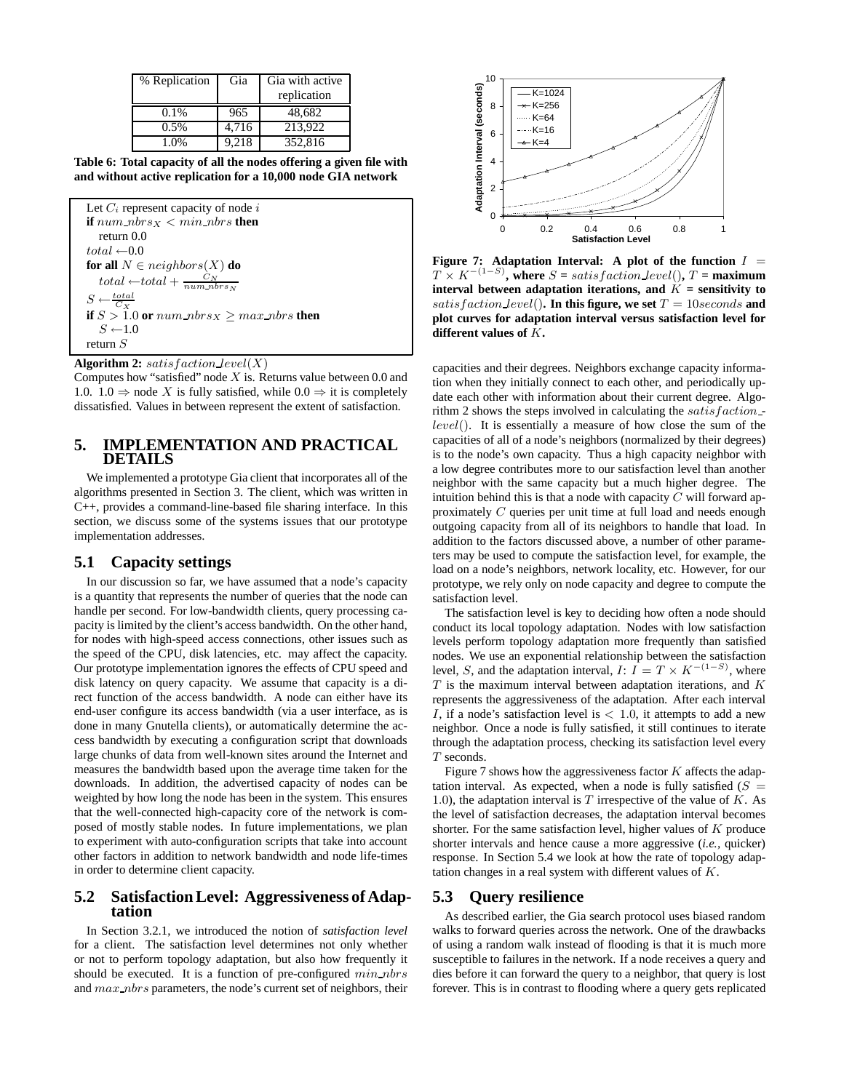| % Replication | Gia   | Gia with active<br>replication |
|---------------|-------|--------------------------------|
| 0.1%          | 965   | 48,682                         |
| 0.5%          | 4,716 | 213.922                        |
| 1.0%          | 9.218 | 352,816                        |

**Table 6: Total capacity of all the nodes offering a given file with and without active replication for a 10,000 node GIA network**

| Let $C_i$ represent capacity of node i                |
|-------------------------------------------------------|
| if $num\_nbrs_X < min\_nbrs$ then                     |
| return 0.0                                            |
| $total \leftarrow 0.0$                                |
| for all $N \in neighbors(X)$ do                       |
| $total \leftarrow total + \frac{C_N}{num \; nbr s_N}$ |
| $S \leftarrow \frac{total}{C_{\mathbf{v}}}$           |
| if $S > 1.0$ or num nbrs $_X > max$ nbrs then         |
| $S \leftarrow 1.0$                                    |
| return $S$                                            |

**Algorithm 2:** satisfaction level( $X$ )

Computes how "satisfied" node  $X$  is. Returns value between 0.0 and 1.0. 1.0  $\Rightarrow$  node X is fully satisfied, while 0.0  $\Rightarrow$  it is completely dissatisfied. Values in between represent the extent of satisfaction.

## **5. IMPLEMENTATION AND PRACTICAL DETAILS**

We implemented a prototype Gia client that incorporates all of the algorithms presented in Section 3. The client, which was written in C++, provides a command-line-based file sharing interface. In this section, we discuss some of the systems issues that our prototype implementation addresses.

#### **5.1 Capacity settings**

In our discussion so far, we have assumed that a node's capacity is a quantity that represents the number of queries that the node can handle per second. For low-bandwidth clients, query processing capacity is limited by the client's access bandwidth. On the other hand, for nodes with high-speed access connections, other issues such as the speed of the CPU, disk latencies, etc. may affect the capacity. Our prototype implementation ignores the effects of CPU speed and disk latency on query capacity. We assume that capacity is a direct function of the access bandwidth. A node can either have its end-user configure its access bandwidth (via a user interface, as is done in many Gnutella clients), or automatically determine the access bandwidth by executing a configuration script that downloads large chunks of data from well-known sites around the Internet and measures the bandwidth based upon the average time taken for the downloads. In addition, the advertised capacity of nodes can be weighted by how long the node has been in the system. This ensures that the well-connected high-capacity core of the network is composed of mostly stable nodes. In future implementations, we plan to experiment with auto-configuration scripts that take into account other factors in addition to network bandwidth and node life-times in order to determine client capacity.

## **5.2 SatisfactionLevel: Aggressiveness of Adaptation**

In Section 3.2.1, we introduced the notion of *satisfaction level* for a client. The satisfaction level determines not only whether or not to perform topology adaptation, but also how frequently it should be executed. It is a function of pre-configured  $min\_nbrs$ and max\_nbrs parameters, the node's current set of neighbors, their



**Figure** 7: Adaptation Interval: A plot of the function  $I =$  $T \times K^{-(1-S)}$ , where  $S = \text{satisfaction level}$ ,  $T = \text{maximum}$ **interval** between adaptation iterations, and  $K =$  sensitivity to satisfaction\_level(). In this figure, we set  $T = 10$ seconds and **plot curves for adaptation interval versus satisfaction level for different values of** K**.**

capacities and their degrees. Neighbors exchange capacity information when they initially connect to each other, and periodically update each other with information about their current degree. Algorithm 2 shows the steps involved in calculating the  $satisfac *tion*$ level(). It is essentially a measure of how close the sum of the capacities of all of a node's neighbors (normalized by their degrees) is to the node's own capacity. Thus a high capacity neighbor with a low degree contributes more to our satisfaction level than another neighbor with the same capacity but a much higher degree. The intuition behind this is that a node with capacity  $C$  will forward approximately C queries per unit time at full load and needs enough outgoing capacity from all of its neighbors to handle that load. In addition to the factors discussed above, a number of other parameters may be used to compute the satisfaction level, for example, the load on a node's neighbors, network locality, etc. However, for our prototype, we rely only on node capacity and degree to compute the satisfaction level.

The satisfaction level is key to deciding how often a node should conduct its local topology adaptation. Nodes with low satisfaction levels perform topology adaptation more frequently than satisfied nodes. We use an exponential relationship between the satisfaction level, S, and the adaptation interval,  $I: I = T \times K^{-(1-S)}$ , where  $T$  is the maximum interval between adaptation iterations, and  $K$ represents the aggressiveness of the adaptation. After each interval I, if a node's satisfaction level is  $< 1.0$ , it attempts to add a new neighbor. Once a node is fully satisfied, it still continues to iterate through the adaptation process, checking its satisfaction level every T seconds.

Figure 7 shows how the aggressiveness factor  $K$  affects the adaptation interval. As expected, when a node is fully satisfied  $(S =$ 1.0), the adaptation interval is  $T$  irrespective of the value of  $K$ . As the level of satisfaction decreases, the adaptation interval becomes shorter. For the same satisfaction level, higher values of  $K$  produce shorter intervals and hence cause a more aggressive (*i.e.,* quicker) response. In Section 5.4 we look at how the rate of topology adaptation changes in a real system with different values of  $K$ .

# **5.3 Query resilience**

As described earlier, the Gia search protocol uses biased random walks to forward queries across the network. One of the drawbacks of using a random walk instead of flooding is that it is much more susceptible to failures in the network. If a node receives a query and dies before it can forward the query to a neighbor, that query is lost forever. This is in contrast to flooding where a query gets replicated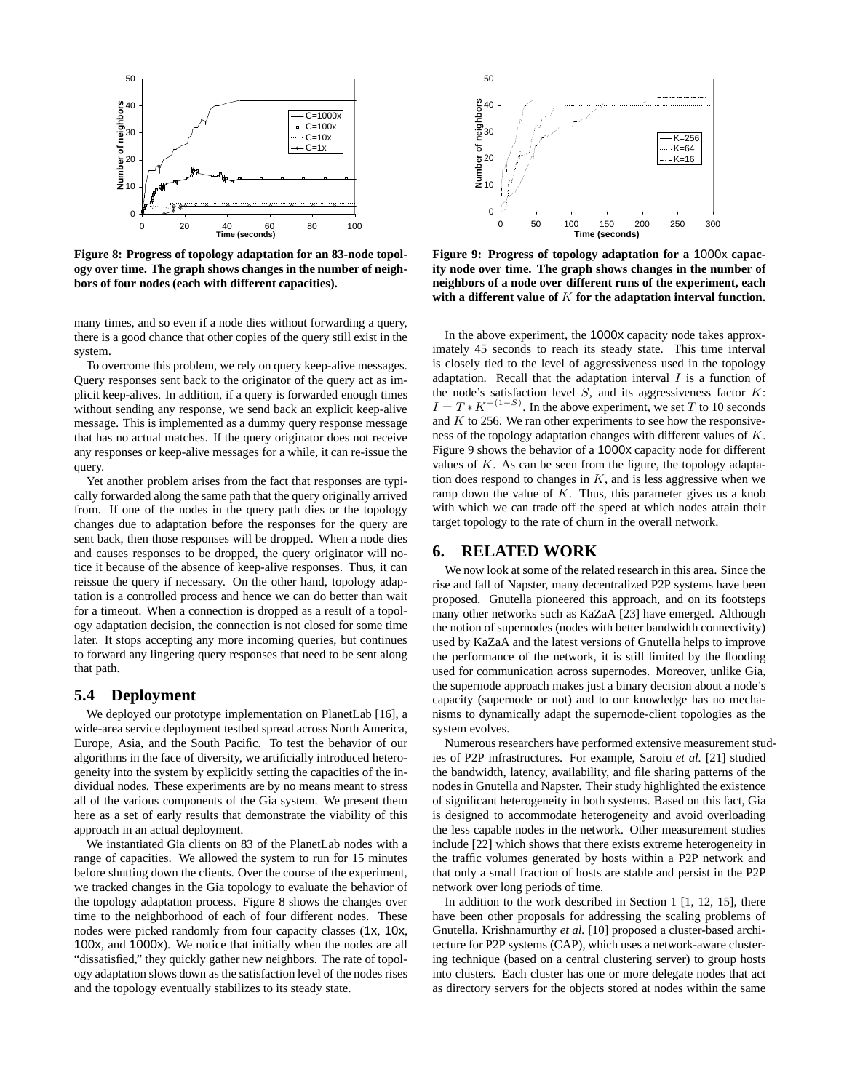

**Figure 8: Progress of topology adaptation for an 83-node topology over time. The graph shows changes in the number of neighbors of four nodes (each with different capacities).**

many times, and so even if a node dies without forwarding a query, there is a good chance that other copies of the query still exist in the system.

To overcome this problem, we rely on query keep-alive messages. Query responses sent back to the originator of the query act as implicit keep-alives. In addition, if a query is forwarded enough times without sending any response, we send back an explicit keep-alive message. This is implemented as a dummy query response message that has no actual matches. If the query originator does not receive any responses or keep-alive messages for a while, it can re-issue the query.

Yet another problem arises from the fact that responses are typically forwarded along the same path that the query originally arrived from. If one of the nodes in the query path dies or the topology changes due to adaptation before the responses for the query are sent back, then those responses will be dropped. When a node dies and causes responses to be dropped, the query originator will notice it because of the absence of keep-alive responses. Thus, it can reissue the query if necessary. On the other hand, topology adaptation is a controlled process and hence we can do better than wait for a timeout. When a connection is dropped as a result of a topology adaptation decision, the connection is not closed for some time later. It stops accepting any more incoming queries, but continues to forward any lingering query responses that need to be sent along that path.

#### **5.4 Deployment**

We deployed our prototype implementation on PlanetLab [16], a wide-area service deployment testbed spread across North America, Europe, Asia, and the South Pacific. To test the behavior of our algorithms in the face of diversity, we artificially introduced heterogeneity into the system by explicitly setting the capacities of the individual nodes. These experiments are by no means meant to stress all of the various components of the Gia system. We present them here as a set of early results that demonstrate the viability of this approach in an actual deployment.

We instantiated Gia clients on 83 of the PlanetLab nodes with a range of capacities. We allowed the system to run for 15 minutes before shutting down the clients. Over the course of the experiment, we tracked changes in the Gia topology to evaluate the behavior of the topology adaptation process. Figure 8 shows the changes over time to the neighborhood of each of four different nodes. These nodes were picked randomly from four capacity classes (1x, 10x, 100x, and 1000x). We notice that initially when the nodes are all "dissatisfied," they quickly gather new neighbors. The rate of topology adaptation slows down as the satisfaction level of the nodes rises and the topology eventually stabilizes to its steady state.



**Figure 9: Progress of topology adaptation for a** 1000x **capacity node over time. The graph shows changes in the number of neighbors of a node over different runs of the experiment, each with a different value of** K **for the adaptation interval function.**

In the above experiment, the 1000x capacity node takes approximately 45 seconds to reach its steady state. This time interval is closely tied to the level of aggressiveness used in the topology adaptation. Recall that the adaptation interval  $I$  is a function of the node's satisfaction level  $S$ , and its aggressiveness factor  $K$ :  $I = T * K^{-(1-S)}$ . In the above experiment, we set T to 10 seconds and  $K$  to 256. We ran other experiments to see how the responsiveness of the topology adaptation changes with different values of  $K$ . Figure 9 shows the behavior of a 1000x capacity node for different values of  $K$ . As can be seen from the figure, the topology adaptation does respond to changes in  $K$ , and is less aggressive when we ramp down the value of  $K$ . Thus, this parameter gives us a knob with which we can trade off the speed at which nodes attain their target topology to the rate of churn in the overall network.

### **6. RELATED WORK**

We now look at some of the related research in this area. Since the rise and fall of Napster, many decentralized P2P systems have been proposed. Gnutella pioneered this approach, and on its footsteps many other networks such as KaZaA [23] have emerged. Although the notion of supernodes (nodes with better bandwidth connectivity) used by KaZaA and the latest versions of Gnutella helps to improve the performance of the network, it is still limited by the flooding used for communication across supernodes. Moreover, unlike Gia, the supernode approach makes just a binary decision about a node's capacity (supernode or not) and to our knowledge has no mechanisms to dynamically adapt the supernode-client topologies as the system evolves.

Numerous researchers have performed extensive measurement studies of P2P infrastructures. For example, Saroiu *et al.* [21] studied the bandwidth, latency, availability, and file sharing patterns of the nodes in Gnutella and Napster. Their study highlighted the existence of significant heterogeneity in both systems. Based on this fact, Gia is designed to accommodate heterogeneity and avoid overloading the less capable nodes in the network. Other measurement studies include [22] which shows that there exists extreme heterogeneity in the traffic volumes generated by hosts within a P2P network and that only a small fraction of hosts are stable and persist in the P2P network over long periods of time.

In addition to the work described in Section 1 [1, 12, 15], there have been other proposals for addressing the scaling problems of Gnutella. Krishnamurthy *et al.* [10] proposed a cluster-based architecture for P2P systems (CAP), which uses a network-aware clustering technique (based on a central clustering server) to group hosts into clusters. Each cluster has one or more delegate nodes that act as directory servers for the objects stored at nodes within the same